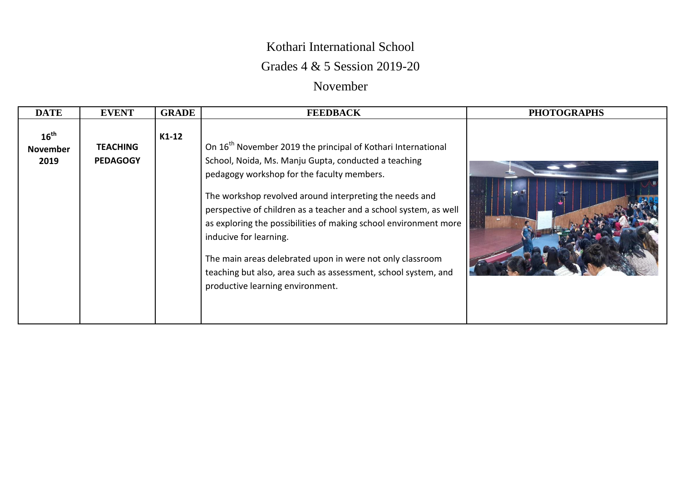## Kothari International School

## Grades 4 & 5 Session 2019-20

## November

| <b>DATE</b>                                 | <b>EVENT</b>                       | <b>GRADE</b> | <b>FEEDBACK</b>                                                                                                                                                                                                                                                                                                                                                                                                                                                                                                                                                                 | <b>PHOTOGRAPHS</b> |
|---------------------------------------------|------------------------------------|--------------|---------------------------------------------------------------------------------------------------------------------------------------------------------------------------------------------------------------------------------------------------------------------------------------------------------------------------------------------------------------------------------------------------------------------------------------------------------------------------------------------------------------------------------------------------------------------------------|--------------------|
| $16^{\text{th}}$<br><b>November</b><br>2019 | <b>TEACHING</b><br><b>PEDAGOGY</b> | $K1-12$      | On 16 <sup>th</sup> November 2019 the principal of Kothari International<br>School, Noida, Ms. Manju Gupta, conducted a teaching<br>pedagogy workshop for the faculty members.<br>The workshop revolved around interpreting the needs and<br>perspective of children as a teacher and a school system, as well<br>as exploring the possibilities of making school environment more<br>inducive for learning.<br>The main areas delebrated upon in were not only classroom<br>teaching but also, area such as assessment, school system, and<br>productive learning environment. |                    |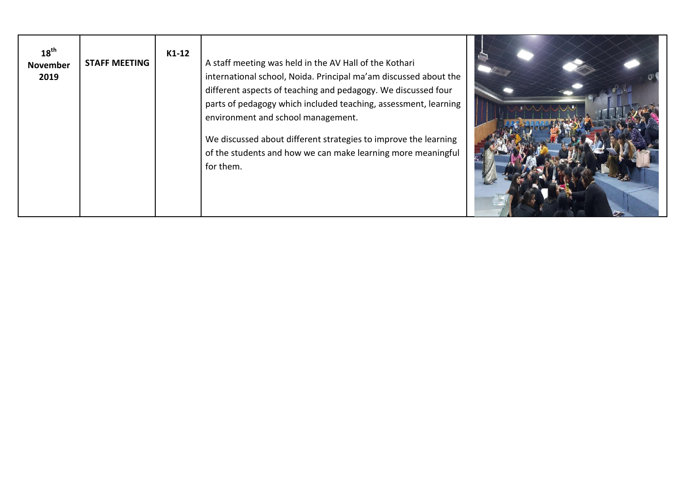| $18^{\text{th}}$<br><b>November</b><br>2019 | <b>STAFF MEETING</b> | $K1-12$ | A staff meeting was held in the AV Hall of the Kothari<br>international school, Noida. Principal ma'am discussed about the<br>different aspects of teaching and pedagogy. We discussed four<br>parts of pedagogy which included teaching, assessment, learning<br>environment and school management.<br>We discussed about different strategies to improve the learning<br>of the students and how we can make learning more meaningful<br>for them. |  |
|---------------------------------------------|----------------------|---------|------------------------------------------------------------------------------------------------------------------------------------------------------------------------------------------------------------------------------------------------------------------------------------------------------------------------------------------------------------------------------------------------------------------------------------------------------|--|
|---------------------------------------------|----------------------|---------|------------------------------------------------------------------------------------------------------------------------------------------------------------------------------------------------------------------------------------------------------------------------------------------------------------------------------------------------------------------------------------------------------------------------------------------------------|--|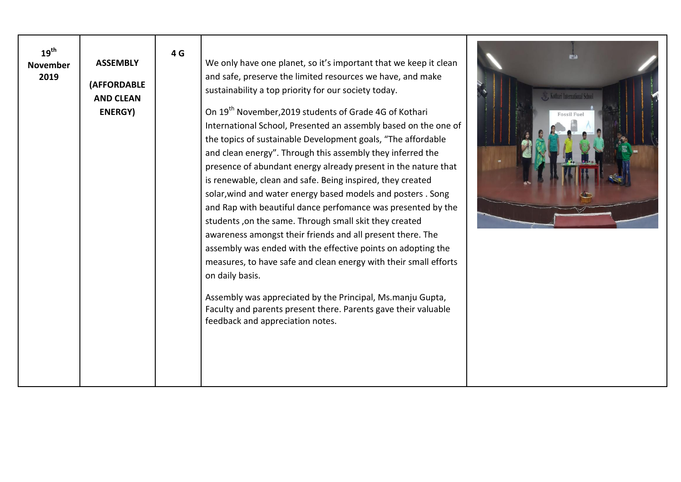| $19^{\text{th}}$<br><b>November</b><br>2019 | <b>ASSEMBLY</b><br><b>(AFFORDABLE</b><br><b>AND CLEAN</b><br><b>ENERGY</b> ) | 4 G | We only have one planet, so it's important that we keep it clean<br>and safe, preserve the limited resources we have, and make<br>sustainability a top priority for our society today.<br>On 19 <sup>th</sup> November, 2019 students of Grade 4G of Kothari<br>International School, Presented an assembly based on the one of<br>the topics of sustainable Development goals, "The affordable<br>and clean energy". Through this assembly they inferred the<br>presence of abundant energy already present in the nature that<br>is renewable, clean and safe. Being inspired, they created<br>solar, wind and water energy based models and posters. Song<br>and Rap with beautiful dance perfomance was presented by the<br>students, on the same. Through small skit they created<br>awareness amongst their friends and all present there. The<br>assembly was ended with the effective points on adopting the<br>measures, to have safe and clean energy with their small efforts<br>on daily basis.<br>Assembly was appreciated by the Principal, Ms.manju Gupta,<br>Faculty and parents present there. Parents gave their valuable<br>feedback and appreciation notes. | Kothari International School<br>Fossil Fue |
|---------------------------------------------|------------------------------------------------------------------------------|-----|---------------------------------------------------------------------------------------------------------------------------------------------------------------------------------------------------------------------------------------------------------------------------------------------------------------------------------------------------------------------------------------------------------------------------------------------------------------------------------------------------------------------------------------------------------------------------------------------------------------------------------------------------------------------------------------------------------------------------------------------------------------------------------------------------------------------------------------------------------------------------------------------------------------------------------------------------------------------------------------------------------------------------------------------------------------------------------------------------------------------------------------------------------------------------------|--------------------------------------------|
|---------------------------------------------|------------------------------------------------------------------------------|-----|---------------------------------------------------------------------------------------------------------------------------------------------------------------------------------------------------------------------------------------------------------------------------------------------------------------------------------------------------------------------------------------------------------------------------------------------------------------------------------------------------------------------------------------------------------------------------------------------------------------------------------------------------------------------------------------------------------------------------------------------------------------------------------------------------------------------------------------------------------------------------------------------------------------------------------------------------------------------------------------------------------------------------------------------------------------------------------------------------------------------------------------------------------------------------------|--------------------------------------------|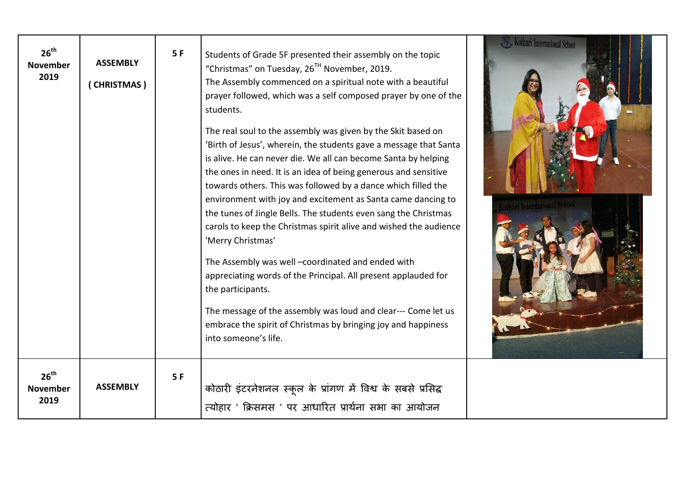| 26 <sup>th</sup><br><b>November</b><br>2019 | <b>ASSEMBLY</b><br>(CHRISTMAS) | 5F | Students of Grade 5F presented their assembly on the topic<br>"Christmas" on Tuesday, 26 <sup>TH</sup> November, 2019.<br>The Assembly commenced on a spiritual note with a beautiful<br>prayer followed, which was a self composed prayer by one of the<br>students.<br>The real soul to the assembly was given by the Skit based on<br>'Birth of Jesus', wherein, the students gave a message that Santa<br>is alive. He can never die. We all can become Santa by helping<br>the ones in need. It is an idea of being generous and sensitive<br>towards others. This was followed by a dance which filled the<br>environment with joy and excitement as Santa came dancing to<br>the tunes of Jingle Bells. The students even sang the Christmas<br>carols to keep the Christmas spirit alive and wished the audience<br>'Merry Christmas'<br>The Assembly was well -coordinated and ended with<br>appreciating words of the Principal. All present applauded for<br>the participants.<br>The message of the assembly was loud and clear--- Come let us<br>embrace the spirit of Christmas by bringing joy and happiness<br>into someone's life. | Kothari International School |
|---------------------------------------------|--------------------------------|----|-----------------------------------------------------------------------------------------------------------------------------------------------------------------------------------------------------------------------------------------------------------------------------------------------------------------------------------------------------------------------------------------------------------------------------------------------------------------------------------------------------------------------------------------------------------------------------------------------------------------------------------------------------------------------------------------------------------------------------------------------------------------------------------------------------------------------------------------------------------------------------------------------------------------------------------------------------------------------------------------------------------------------------------------------------------------------------------------------------------------------------------------------------|------------------------------|
| 26 <sup>th</sup><br><b>November</b><br>2019 | <b>ASSEMBLY</b>                | 5F | कोठारी इंटरनेशनल स्कूल के प्रांगण में विश्व के सबसे प्रसिद्ध<br>त्योहार ' क्रिसमस ' पर आधारित प्रार्थना सभा का आयोजन                                                                                                                                                                                                                                                                                                                                                                                                                                                                                                                                                                                                                                                                                                                                                                                                                                                                                                                                                                                                                                |                              |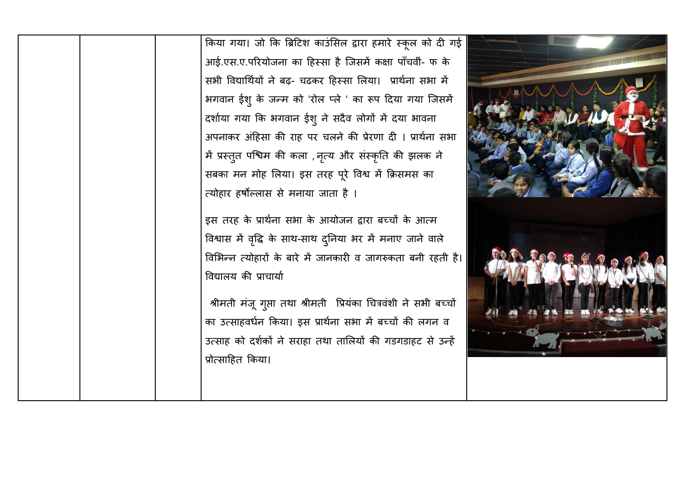|  | किया गया। जो कि ब्रिटिश काउंसिल द्वारा हमारे स्कूल को दी गई      |
|--|------------------------------------------------------------------|
|  | आई.एस.ए.परियोजना का हिस्सा है जिसमें कक्षा पाँचवीं- फ के         |
|  | सभी विद्यार्थियों ने बढ़- चढकर हिस्सा लिया। प्रार्थना सभा में    |
|  | भगवान ईश् के जन्म को 'रोल प्ले ' का रूप दिया गया जिसमें          |
|  | दर्शाया गया कि भगवान ईशु ने सदैव लोगों में दया भावना             |
|  | अपनाकर अंहिसा की राह पर चलने की प्रेरणा दी । प्रार्थना सभा       |
|  | में प्रस्तुत पश्चिम की कला , नृत्य और संस्कृति की झलक ने         |
|  | सबका मन मोह लिया। इस तरह पूरे विश्व में क्रिसमस का               |
|  | त्योहार हर्षोल्लास से मनाया जाता है ।                            |
|  | इस तरह के प्रार्थना सभा के आयोजन द्वारा बच्चों के आत्म           |
|  | विश्वास में वृद्धि के साथ-साथ दुनिया भर में मनाए जाने वाले       |
|  | विभिन्न त्योहारों के बारे में जानकारी व जागरुकता बनी रहती है।    |
|  | विद्यालय की प्राचार्या                                           |
|  |                                                                  |
|  | श्रीमती मंजू गुप्ता तथा श्रीमती प्रियंका चित्रवंशी ने सभी बच्चों |
|  | का उत्साहवर्धन किया। इस प्रार्थना सभा में बच्चों की लगन व        |
|  | उत्साह को दर्शकों ने सराहा तथा तालियों की गडगडाहट से उन्हें      |
|  | प्रोत्साहित किया।                                                |
|  |                                                                  |
|  |                                                                  |